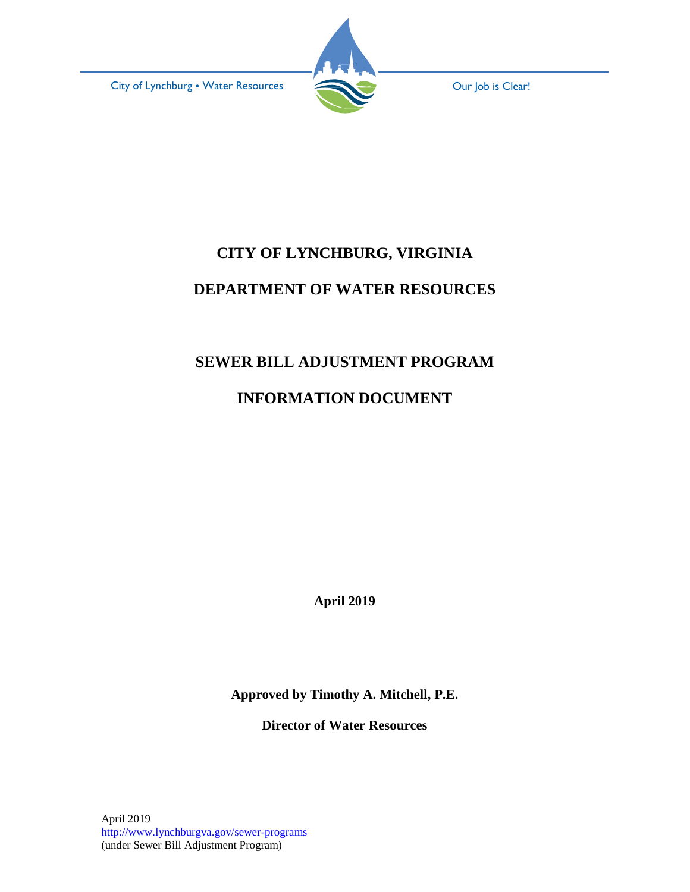City of Lynchburg • Water Resources **Our Job is Clear!** 



# **CITY OF LYNCHBURG, VIRGINIA DEPARTMENT OF WATER RESOURCES**

# **SEWER BILL ADJUSTMENT PROGRAM**

# **INFORMATION DOCUMENT**

**April 2019**

**Approved by Timothy A. Mitchell, P.E.**

**Director of Water Resources**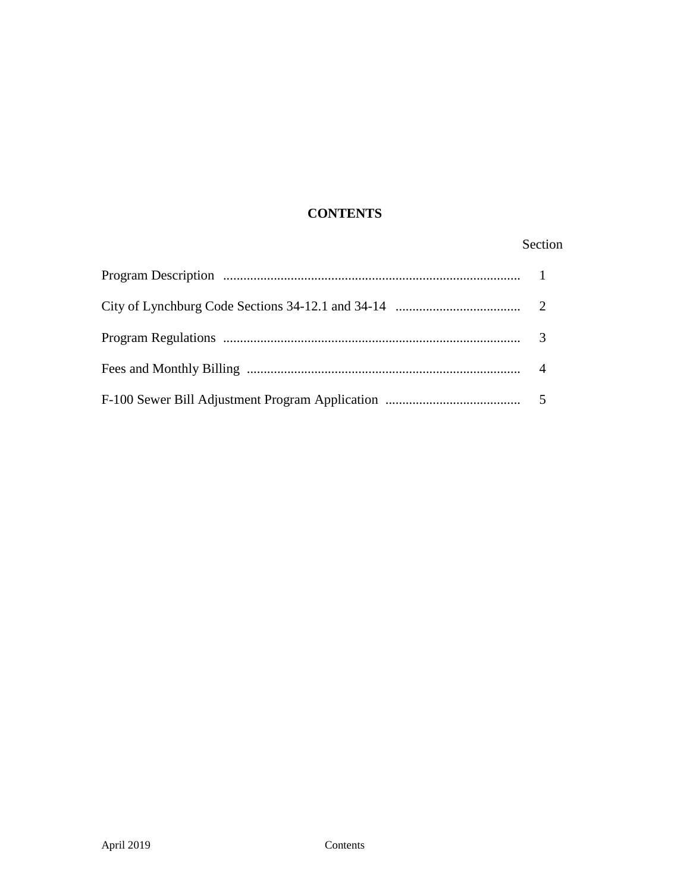## **CONTENTS**

## Section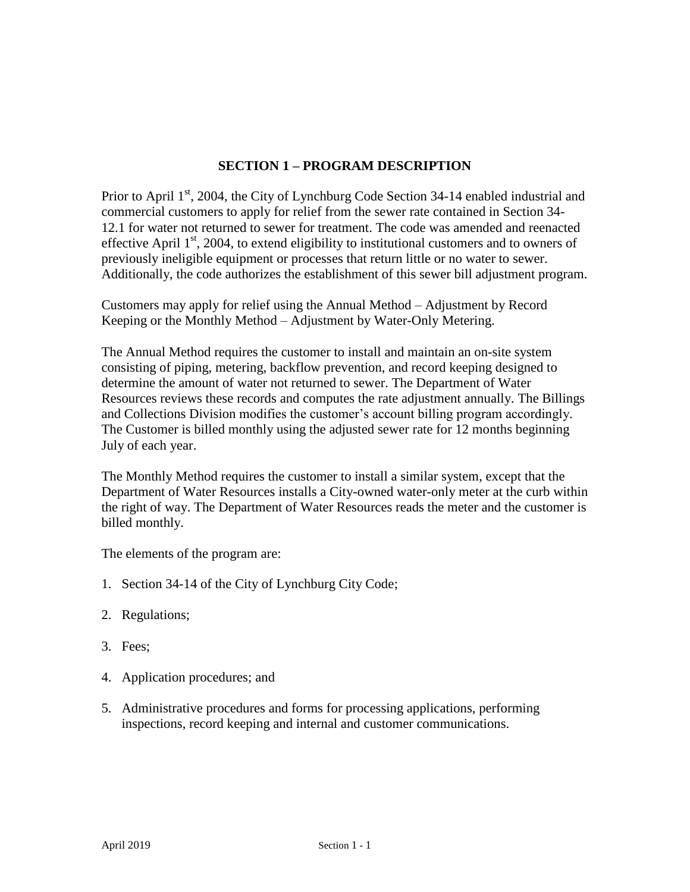## **SECTION 1 – PROGRAM DESCRIPTION**

Prior to April  $1<sup>st</sup>$ , 2004, the City of Lynchburg Code Section 34-14 enabled industrial and commercial customers to apply for relief from the sewer rate contained in Section 34- 12.1 for water not returned to sewer for treatment. The code was amended and reenacted effective April  $1<sup>st</sup>$ , 2004, to extend eligibility to institutional customers and to owners of previously ineligible equipment or processes that return little or no water to sewer. Additionally, the code authorizes the establishment of this sewer bill adjustment program.

Customers may apply for relief using the Annual Method – Adjustment by Record Keeping or the Monthly Method – Adjustment by Water-Only Metering.

The Annual Method requires the customer to install and maintain an on-site system consisting of piping, metering, backflow prevention, and record keeping designed to determine the amount of water not returned to sewer. The Department of Water Resources reviews these records and computes the rate adjustment annually. The Billings and Collections Division modifies the customer's account billing program accordingly. The Customer is billed monthly using the adjusted sewer rate for 12 months beginning July of each year.

The Monthly Method requires the customer to install a similar system, except that the Department of Water Resources installs a City-owned water-only meter at the curb within the right of way. The Department of Water Resources reads the meter and the customer is billed monthly.

The elements of the program are:

- 1. Section 34-14 of the City of Lynchburg City Code;
- 2. Regulations;
- 3. Fees;
- 4. Application procedures; and
- 5. Administrative procedures and forms for processing applications, performing inspections, record keeping and internal and customer communications.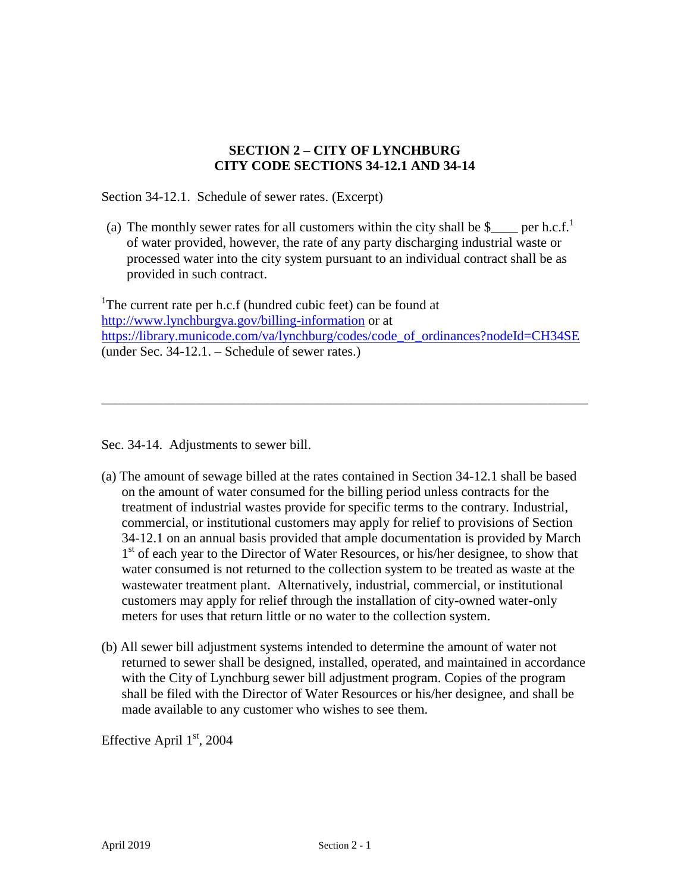## **SECTION 2 – CITY OF LYNCHBURG CITY CODE SECTIONS 34-12.1 AND 34-14**

Section 34-12.1. Schedule of sewer rates. (Excerpt)

(a) The monthly sewer rates for all customers within the city shall be  $\gamma$  per h.c.f.<sup>1</sup> of water provided, however, the rate of any party discharging industrial waste or processed water into the city system pursuant to an individual contract shall be as provided in such contract.

<sup>1</sup>The current rate per h.c.f (hundred cubic feet) can be found at <http://www.lynchburgva.gov/billing-information> or at [https://library.municode.com/va/lynchburg/codes/code\\_of\\_ordinances?nodeId=CH34SE](https://library.municode.com/va/lynchburg/codes/code_of_ordinances?nodeId=CH34SE) (under Sec. 34-12.1. – Schedule of sewer rates.)

\_\_\_\_\_\_\_\_\_\_\_\_\_\_\_\_\_\_\_\_\_\_\_\_\_\_\_\_\_\_\_\_\_\_\_\_\_\_\_\_\_\_\_\_\_\_\_\_\_\_\_\_\_\_\_\_\_\_\_\_\_\_\_\_\_\_\_\_\_\_\_\_

Sec. 34-14. Adjustments to sewer bill.

- (a) The amount of sewage billed at the rates contained in Section 34-12.1 shall be based on the amount of water consumed for the billing period unless contracts for the treatment of industrial wastes provide for specific terms to the contrary. Industrial, commercial, or institutional customers may apply for relief to provisions of Section 34-12.1 on an annual basis provided that ample documentation is provided by March 1<sup>st</sup> of each year to the Director of Water Resources, or his/her designee, to show that water consumed is not returned to the collection system to be treated as waste at the wastewater treatment plant. Alternatively, industrial, commercial, or institutional customers may apply for relief through the installation of city-owned water-only meters for uses that return little or no water to the collection system.
- (b) All sewer bill adjustment systems intended to determine the amount of water not returned to sewer shall be designed, installed, operated, and maintained in accordance with the City of Lynchburg sewer bill adjustment program. Copies of the program shall be filed with the Director of Water Resources or his/her designee, and shall be made available to any customer who wishes to see them.

Effective April 1st, 2004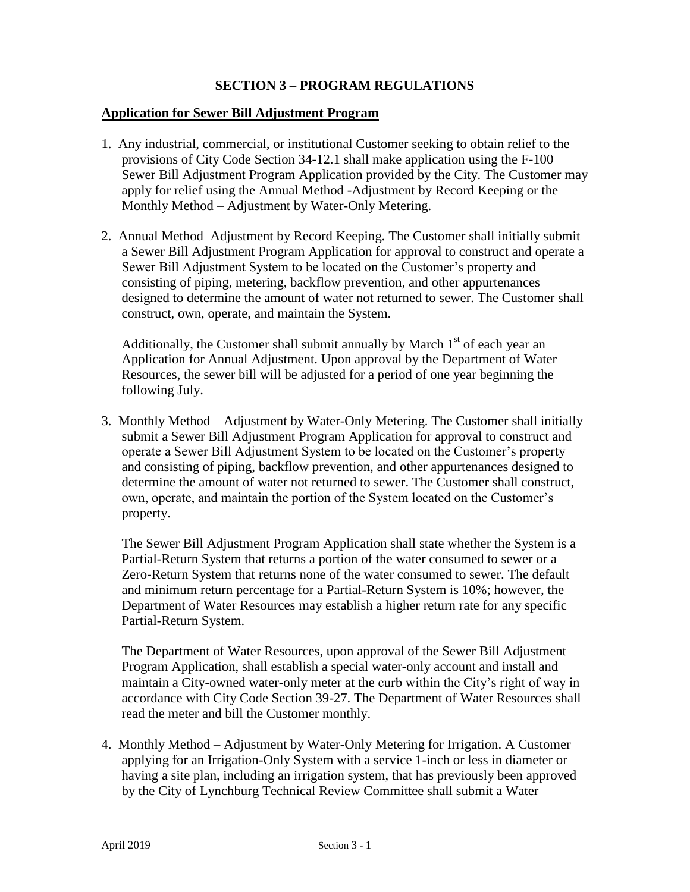## **SECTION 3 – PROGRAM REGULATIONS**

#### **Application for Sewer Bill Adjustment Program**

- 1. Any industrial, commercial, or institutional Customer seeking to obtain relief to the provisions of City Code Section 34-12.1 shall make application using the F-100 Sewer Bill Adjustment Program Application provided by the City. The Customer may apply for relief using the Annual Method -Adjustment by Record Keeping or the Monthly Method – Adjustment by Water-Only Metering.
- 2. Annual Method Adjustment by Record Keeping. The Customer shall initially submit a Sewer Bill Adjustment Program Application for approval to construct and operate a Sewer Bill Adjustment System to be located on the Customer's property and consisting of piping, metering, backflow prevention, and other appurtenances designed to determine the amount of water not returned to sewer. The Customer shall construct, own, operate, and maintain the System.

Additionally, the Customer shall submit annually by March  $1<sup>st</sup>$  of each year an Application for Annual Adjustment. Upon approval by the Department of Water Resources, the sewer bill will be adjusted for a period of one year beginning the following July.

3. Monthly Method – Adjustment by Water-Only Metering. The Customer shall initially submit a Sewer Bill Adjustment Program Application for approval to construct and operate a Sewer Bill Adjustment System to be located on the Customer's property and consisting of piping, backflow prevention, and other appurtenances designed to determine the amount of water not returned to sewer. The Customer shall construct, own, operate, and maintain the portion of the System located on the Customer's property.

The Sewer Bill Adjustment Program Application shall state whether the System is a Partial-Return System that returns a portion of the water consumed to sewer or a Zero-Return System that returns none of the water consumed to sewer. The default and minimum return percentage for a Partial-Return System is 10%; however, the Department of Water Resources may establish a higher return rate for any specific Partial-Return System.

The Department of Water Resources, upon approval of the Sewer Bill Adjustment Program Application, shall establish a special water-only account and install and maintain a City-owned water-only meter at the curb within the City's right of way in accordance with City Code Section 39-27. The Department of Water Resources shall read the meter and bill the Customer monthly.

4. Monthly Method – Adjustment by Water-Only Metering for Irrigation. A Customer applying for an Irrigation-Only System with a service 1-inch or less in diameter or having a site plan, including an irrigation system, that has previously been approved by the City of Lynchburg Technical Review Committee shall submit a Water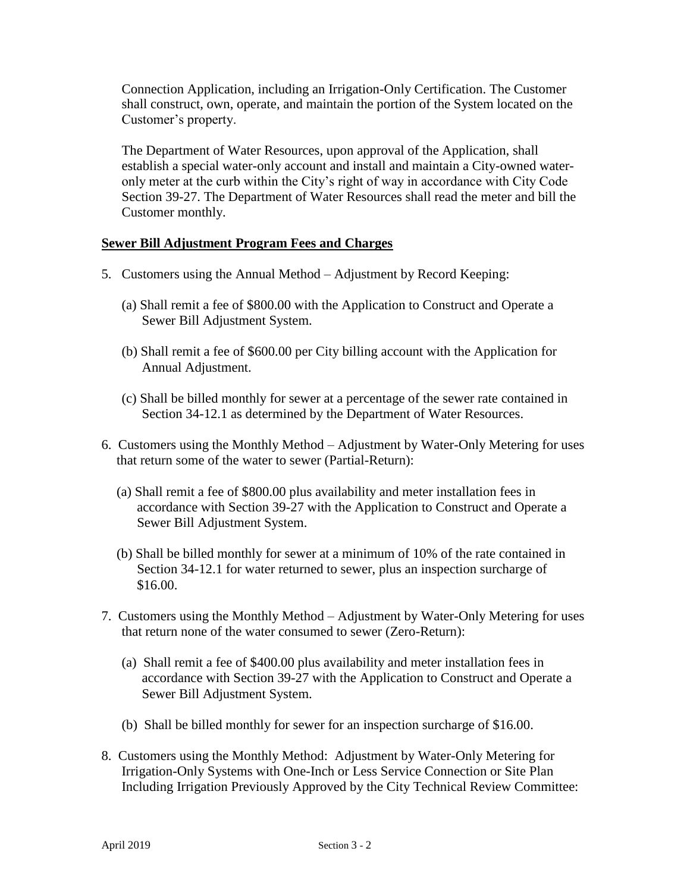Connection Application, including an Irrigation-Only Certification. The Customer shall construct, own, operate, and maintain the portion of the System located on the Customer's property.

The Department of Water Resources, upon approval of the Application, shall establish a special water-only account and install and maintain a City-owned wateronly meter at the curb within the City's right of way in accordance with City Code Section 39-27. The Department of Water Resources shall read the meter and bill the Customer monthly.

#### **Sewer Bill Adjustment Program Fees and Charges**

- 5. Customers using the Annual Method Adjustment by Record Keeping:
	- (a) Shall remit a fee of \$800.00 with the Application to Construct and Operate a Sewer Bill Adjustment System.
	- (b) Shall remit a fee of \$600.00 per City billing account with the Application for Annual Adjustment.
	- (c) Shall be billed monthly for sewer at a percentage of the sewer rate contained in Section 34-12.1 as determined by the Department of Water Resources.
- 6. Customers using the Monthly Method Adjustment by Water-Only Metering for uses that return some of the water to sewer (Partial-Return):
	- (a) Shall remit a fee of \$800.00 plus availability and meter installation fees in accordance with Section 39-27 with the Application to Construct and Operate a Sewer Bill Adjustment System.
	- (b) Shall be billed monthly for sewer at a minimum of 10% of the rate contained in Section 34-12.1 for water returned to sewer, plus an inspection surcharge of \$16.00.
- 7. Customers using the Monthly Method Adjustment by Water-Only Metering for uses that return none of the water consumed to sewer (Zero-Return):
	- (a) Shall remit a fee of \$400.00 plus availability and meter installation fees in accordance with Section 39-27 with the Application to Construct and Operate a Sewer Bill Adjustment System.
	- (b) Shall be billed monthly for sewer for an inspection surcharge of \$16.00.
- 8. Customers using the Monthly Method: Adjustment by Water-Only Metering for Irrigation-Only Systems with One-Inch or Less Service Connection or Site Plan Including Irrigation Previously Approved by the City Technical Review Committee: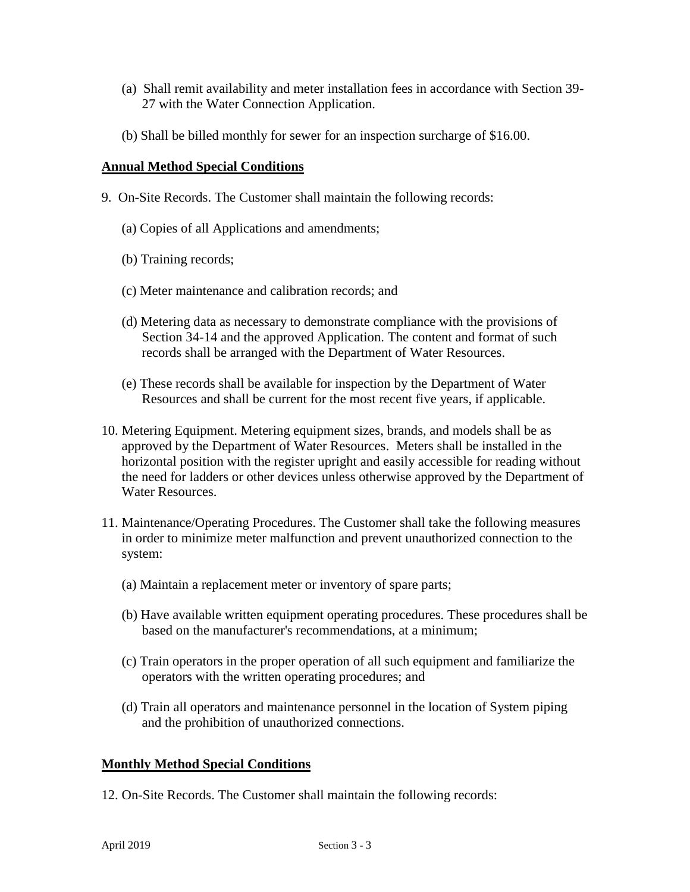- (a) Shall remit availability and meter installation fees in accordance with Section 39- 27 with the Water Connection Application.
- (b) Shall be billed monthly for sewer for an inspection surcharge of \$16.00.

## **Annual Method Special Conditions**

- 9. On-Site Records. The Customer shall maintain the following records:
	- (a) Copies of all Applications and amendments;
	- (b) Training records;
	- (c) Meter maintenance and calibration records; and
	- (d) Metering data as necessary to demonstrate compliance with the provisions of Section 34-14 and the approved Application. The content and format of such records shall be arranged with the Department of Water Resources.
	- (e) These records shall be available for inspection by the Department of Water Resources and shall be current for the most recent five years, if applicable.
- 10. Metering Equipment. Metering equipment sizes, brands, and models shall be as approved by the Department of Water Resources. Meters shall be installed in the horizontal position with the register upright and easily accessible for reading without the need for ladders or other devices unless otherwise approved by the Department of Water Resources.
- 11. Maintenance/Operating Procedures. The Customer shall take the following measures in order to minimize meter malfunction and prevent unauthorized connection to the system:
	- (a) Maintain a replacement meter or inventory of spare parts;
	- (b) Have available written equipment operating procedures. These procedures shall be based on the manufacturer's recommendations, at a minimum;
	- (c) Train operators in the proper operation of all such equipment and familiarize the operators with the written operating procedures; and
	- (d) Train all operators and maintenance personnel in the location of System piping and the prohibition of unauthorized connections.

## **Monthly Method Special Conditions**

12. On-Site Records. The Customer shall maintain the following records: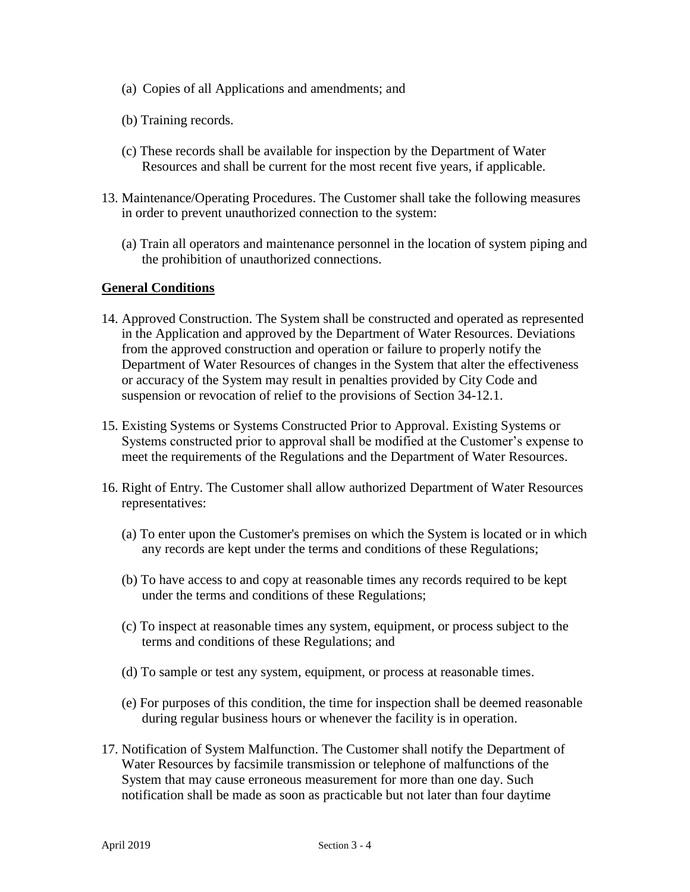- (a) Copies of all Applications and amendments; and
- (b) Training records.
- (c) These records shall be available for inspection by the Department of Water Resources and shall be current for the most recent five years, if applicable.
- 13. Maintenance/Operating Procedures. The Customer shall take the following measures in order to prevent unauthorized connection to the system:
	- (a) Train all operators and maintenance personnel in the location of system piping and the prohibition of unauthorized connections.

#### **General Conditions**

- 14. Approved Construction. The System shall be constructed and operated as represented in the Application and approved by the Department of Water Resources. Deviations from the approved construction and operation or failure to properly notify the Department of Water Resources of changes in the System that alter the effectiveness or accuracy of the System may result in penalties provided by City Code and suspension or revocation of relief to the provisions of Section 34-12.1.
- 15. Existing Systems or Systems Constructed Prior to Approval. Existing Systems or Systems constructed prior to approval shall be modified at the Customer's expense to meet the requirements of the Regulations and the Department of Water Resources.
- 16. Right of Entry. The Customer shall allow authorized Department of Water Resources representatives:
	- (a) To enter upon the Customer's premises on which the System is located or in which any records are kept under the terms and conditions of these Regulations;
	- (b) To have access to and copy at reasonable times any records required to be kept under the terms and conditions of these Regulations;
	- (c) To inspect at reasonable times any system, equipment, or process subject to the terms and conditions of these Regulations; and
	- (d) To sample or test any system, equipment, or process at reasonable times.
	- (e) For purposes of this condition, the time for inspection shall be deemed reasonable during regular business hours or whenever the facility is in operation.
- 17. Notification of System Malfunction. The Customer shall notify the Department of Water Resources by facsimile transmission or telephone of malfunctions of the System that may cause erroneous measurement for more than one day. Such notification shall be made as soon as practicable but not later than four daytime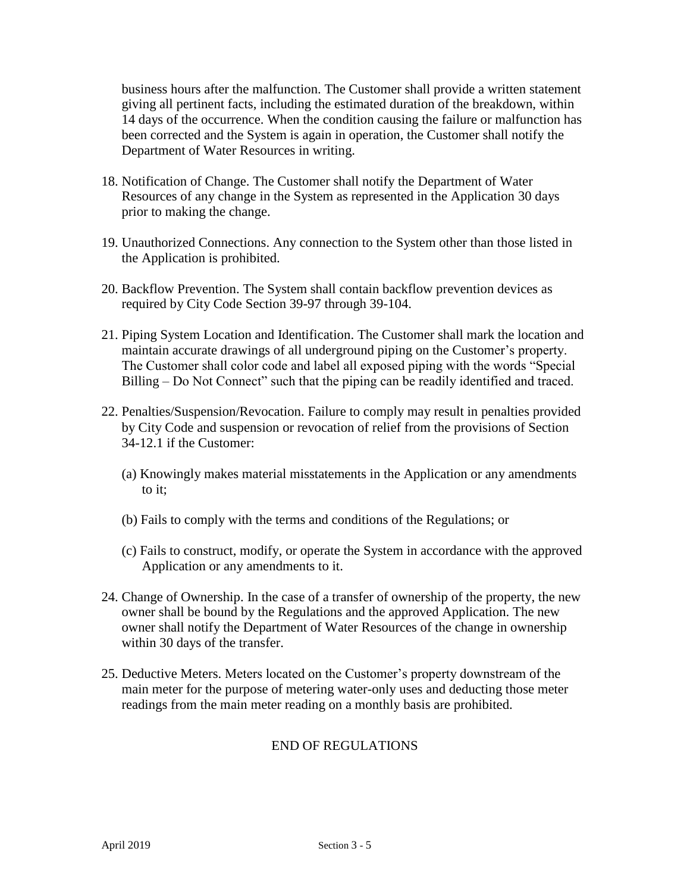business hours after the malfunction. The Customer shall provide a written statement giving all pertinent facts, including the estimated duration of the breakdown, within 14 days of the occurrence. When the condition causing the failure or malfunction has been corrected and the System is again in operation, the Customer shall notify the Department of Water Resources in writing.

- 18. Notification of Change. The Customer shall notify the Department of Water Resources of any change in the System as represented in the Application 30 days prior to making the change.
- 19. Unauthorized Connections. Any connection to the System other than those listed in the Application is prohibited.
- 20. Backflow Prevention. The System shall contain backflow prevention devices as required by City Code Section 39-97 through 39-104.
- 21. Piping System Location and Identification. The Customer shall mark the location and maintain accurate drawings of all underground piping on the Customer's property. The Customer shall color code and label all exposed piping with the words "Special Billing – Do Not Connect" such that the piping can be readily identified and traced.
- 22. Penalties/Suspension/Revocation. Failure to comply may result in penalties provided by City Code and suspension or revocation of relief from the provisions of Section 34-12.1 if the Customer:
	- (a) Knowingly makes material misstatements in the Application or any amendments to it;
	- (b) Fails to comply with the terms and conditions of the Regulations; or
	- (c) Fails to construct, modify, or operate the System in accordance with the approved Application or any amendments to it.
- 24. Change of Ownership. In the case of a transfer of ownership of the property, the new owner shall be bound by the Regulations and the approved Application. The new owner shall notify the Department of Water Resources of the change in ownership within 30 days of the transfer.
- 25. Deductive Meters. Meters located on the Customer's property downstream of the main meter for the purpose of metering water-only uses and deducting those meter readings from the main meter reading on a monthly basis are prohibited.

## END OF REGULATIONS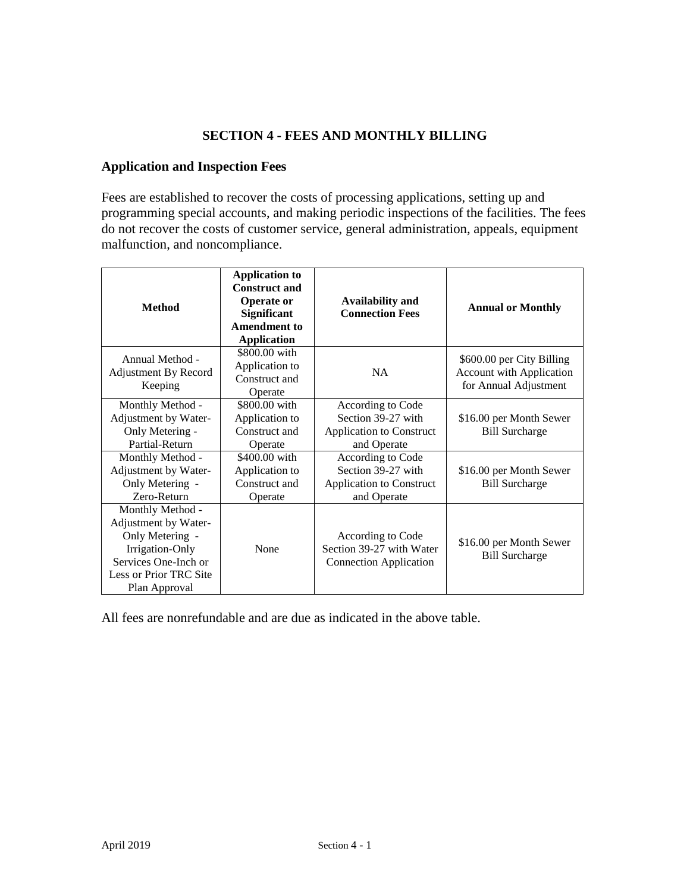## **SECTION 4 - FEES AND MONTHLY BILLING**

#### **Application and Inspection Fees**

Fees are established to recover the costs of processing applications, setting up and programming special accounts, and making periodic inspections of the facilities. The fees do not recover the costs of customer service, general administration, appeals, equipment malfunction, and noncompliance.

| <b>Method</b>                                                                                                                                     | <b>Application to</b><br><b>Construct and</b><br><b>Operate or</b><br><b>Significant</b><br><b>Amendment to</b><br><b>Application</b> | <b>Availability and</b><br><b>Connection Fees</b>                                         | <b>Annual or Monthly</b>                                                              |
|---------------------------------------------------------------------------------------------------------------------------------------------------|---------------------------------------------------------------------------------------------------------------------------------------|-------------------------------------------------------------------------------------------|---------------------------------------------------------------------------------------|
| Annual Method -<br><b>Adjustment By Record</b><br>Keeping                                                                                         | \$800.00 with<br>Application to<br>Construct and<br>Operate                                                                           | <b>NA</b>                                                                                 | \$600.00 per City Billing<br><b>Account with Application</b><br>for Annual Adjustment |
| Monthly Method -<br>Adjustment by Water-<br>Only Metering -<br>Partial-Return                                                                     | \$800.00 with<br>Application to<br>Construct and<br>Operate                                                                           | According to Code<br>Section 39-27 with<br><b>Application to Construct</b><br>and Operate | \$16.00 per Month Sewer<br><b>Bill Surcharge</b>                                      |
| Monthly Method -<br>Adjustment by Water-<br>Only Metering -<br>Zero-Return                                                                        | \$400.00 with<br>Application to<br>Construct and<br>Operate                                                                           | According to Code<br>Section 39-27 with<br><b>Application to Construct</b><br>and Operate | \$16.00 per Month Sewer<br><b>Bill Surcharge</b>                                      |
| Monthly Method -<br>Adjustment by Water-<br>Only Metering -<br>Irrigation-Only<br>Services One-Inch or<br>Less or Prior TRC Site<br>Plan Approval | None                                                                                                                                  | According to Code<br>Section 39-27 with Water<br><b>Connection Application</b>            | \$16.00 per Month Sewer<br><b>Bill Surcharge</b>                                      |

All fees are nonrefundable and are due as indicated in the above table.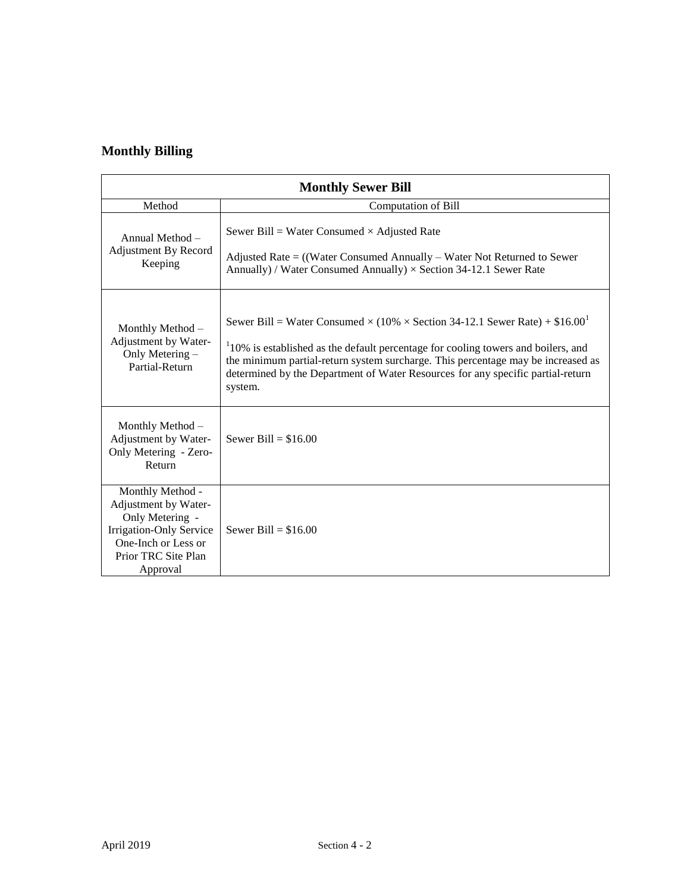# **Monthly Billing**

| <b>Monthly Sewer Bill</b>                                                                                                                               |                                                                                                                                                                                                                                                                                                                                                                                 |  |  |
|---------------------------------------------------------------------------------------------------------------------------------------------------------|---------------------------------------------------------------------------------------------------------------------------------------------------------------------------------------------------------------------------------------------------------------------------------------------------------------------------------------------------------------------------------|--|--|
| Method                                                                                                                                                  | <b>Computation of Bill</b>                                                                                                                                                                                                                                                                                                                                                      |  |  |
| Annual Method -<br>Adjustment By Record<br>Keeping                                                                                                      | Sewer Bill = Water Consumed $\times$ Adjusted Rate<br>Adjusted Rate $=$ ((Water Consumed Annually – Water Not Returned to Sewer<br>Annually) / Water Consumed Annually) $\times$ Section 34-12.1 Sewer Rate                                                                                                                                                                     |  |  |
| Monthly Method -<br>Adjustment by Water-<br>Only Metering -<br>Partial-Return                                                                           | Sewer Bill = Water Consumed $\times$ (10% $\times$ Section 34-12.1 Sewer Rate) + \$16.00 <sup>1</sup><br>$110\%$ is established as the default percentage for cooling towers and boilers, and<br>the minimum partial-return system surcharge. This percentage may be increased as<br>determined by the Department of Water Resources for any specific partial-return<br>system. |  |  |
| Monthly Method -<br>Adjustment by Water-<br>Only Metering - Zero-<br>Return                                                                             | Sewer Bill = $$16.00$                                                                                                                                                                                                                                                                                                                                                           |  |  |
| Monthly Method -<br>Adjustment by Water-<br>Only Metering -<br><b>Irrigation-Only Service</b><br>One-Inch or Less or<br>Prior TRC Site Plan<br>Approval | Sewer Bill = $$16.00$                                                                                                                                                                                                                                                                                                                                                           |  |  |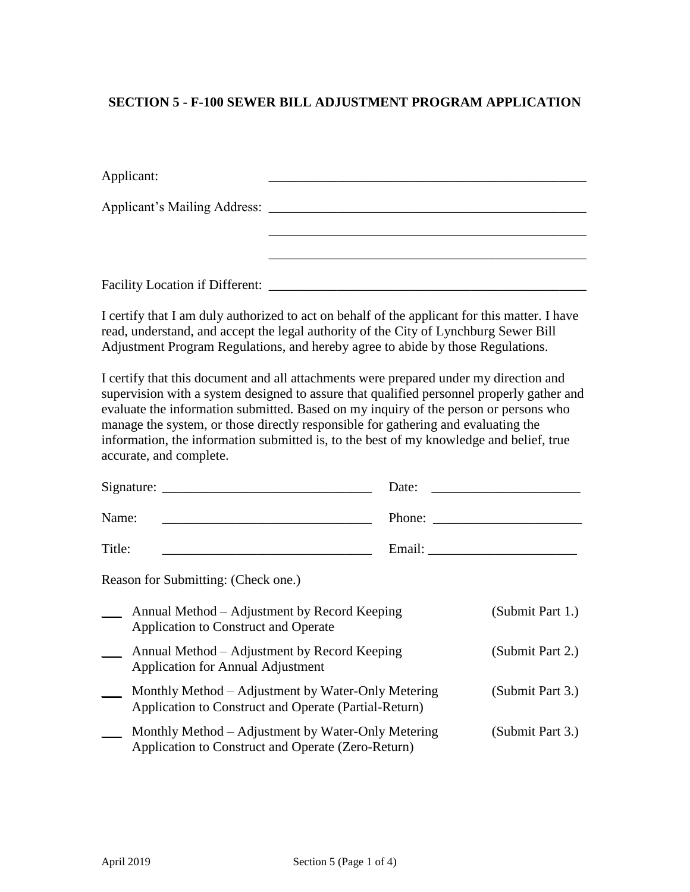## **SECTION 5 - F-100 SEWER BILL ADJUSTMENT PROGRAM APPLICATION**

| Applicant:                             |  |
|----------------------------------------|--|
|                                        |  |
|                                        |  |
|                                        |  |
| <b>Facility Location if Different:</b> |  |

I certify that I am duly authorized to act on behalf of the applicant for this matter. I have read, understand, and accept the legal authority of the City of Lynchburg Sewer Bill Adjustment Program Regulations, and hereby agree to abide by those Regulations.

I certify that this document and all attachments were prepared under my direction and supervision with a system designed to assure that qualified personnel properly gather and evaluate the information submitted. Based on my inquiry of the person or persons who manage the system, or those directly responsible for gathering and evaluating the information, the information submitted is, to the best of my knowledge and belief, true accurate, and complete.

|        | Signature:                                                                                                  | Date:  |                  |
|--------|-------------------------------------------------------------------------------------------------------------|--------|------------------|
| Name:  |                                                                                                             | Phone: |                  |
| Title: |                                                                                                             | Email: |                  |
|        | Reason for Submitting: (Check one.)                                                                         |        |                  |
|        | Annual Method – Adjustment by Record Keeping<br>Application to Construct and Operate                        |        | (Submit Part 1.) |
|        | Annual Method – Adjustment by Record Keeping<br><b>Application for Annual Adjustment</b>                    |        | (Submit Part 2.) |
|        | Monthly Method – Adjustment by Water-Only Metering<br>Application to Construct and Operate (Partial-Return) |        | (Submit Part 3.) |
|        | Monthly Method – Adjustment by Water-Only Metering<br>Application to Construct and Operate (Zero-Return)    |        | (Submit Part 3.) |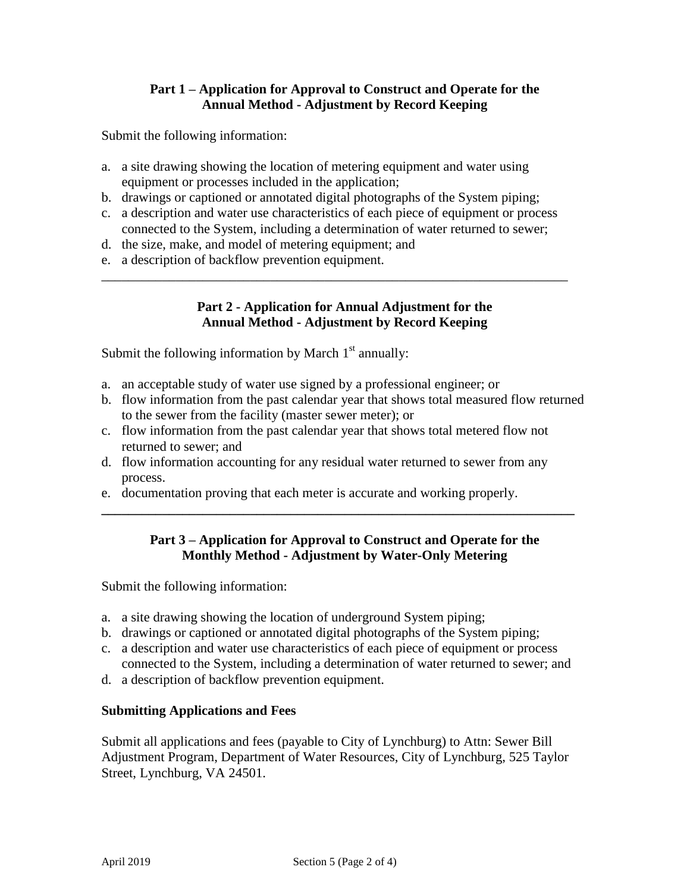## **Part 1 – Application for Approval to Construct and Operate for the Annual Method - Adjustment by Record Keeping**

Submit the following information:

- a. a site drawing showing the location of metering equipment and water using equipment or processes included in the application;
- b. drawings or captioned or annotated digital photographs of the System piping;
- c. a description and water use characteristics of each piece of equipment or process connected to the System, including a determination of water returned to sewer;

\_\_\_\_\_\_\_\_\_\_\_\_\_\_\_\_\_\_\_\_\_\_\_\_\_\_\_\_\_\_\_\_\_\_\_\_\_\_\_\_\_\_\_\_\_\_\_\_\_\_\_\_\_\_\_\_\_\_\_\_\_\_\_\_\_\_\_\_\_

- d. the size, make, and model of metering equipment; and
- e. a description of backflow prevention equipment.

## **Part 2 - Application for Annual Adjustment for the Annual Method - Adjustment by Record Keeping**

Submit the following information by March  $1<sup>st</sup>$  annually:

- a. an acceptable study of water use signed by a professional engineer; or
- b. flow information from the past calendar year that shows total measured flow returned to the sewer from the facility (master sewer meter); or
- c. flow information from the past calendar year that shows total metered flow not returned to sewer; and
- d. flow information accounting for any residual water returned to sewer from any process.
- e. documentation proving that each meter is accurate and working properly.

## **Part 3 – Application for Approval to Construct and Operate for the Monthly Method - Adjustment by Water-Only Metering**

**\_\_\_\_\_\_\_\_\_\_\_\_\_\_\_\_\_\_\_\_\_\_\_\_\_\_\_\_\_\_\_\_\_\_\_\_\_\_\_\_\_\_\_\_\_\_\_\_\_\_\_\_\_\_\_\_\_\_\_\_\_\_\_\_\_\_\_\_\_\_**

Submit the following information:

- a. a site drawing showing the location of underground System piping;
- b. drawings or captioned or annotated digital photographs of the System piping;
- c. a description and water use characteristics of each piece of equipment or process connected to the System, including a determination of water returned to sewer; and
- d. a description of backflow prevention equipment.

#### **Submitting Applications and Fees**

Submit all applications and fees (payable to City of Lynchburg) to Attn: Sewer Bill Adjustment Program, Department of Water Resources, City of Lynchburg, 525 Taylor Street, Lynchburg, VA 24501.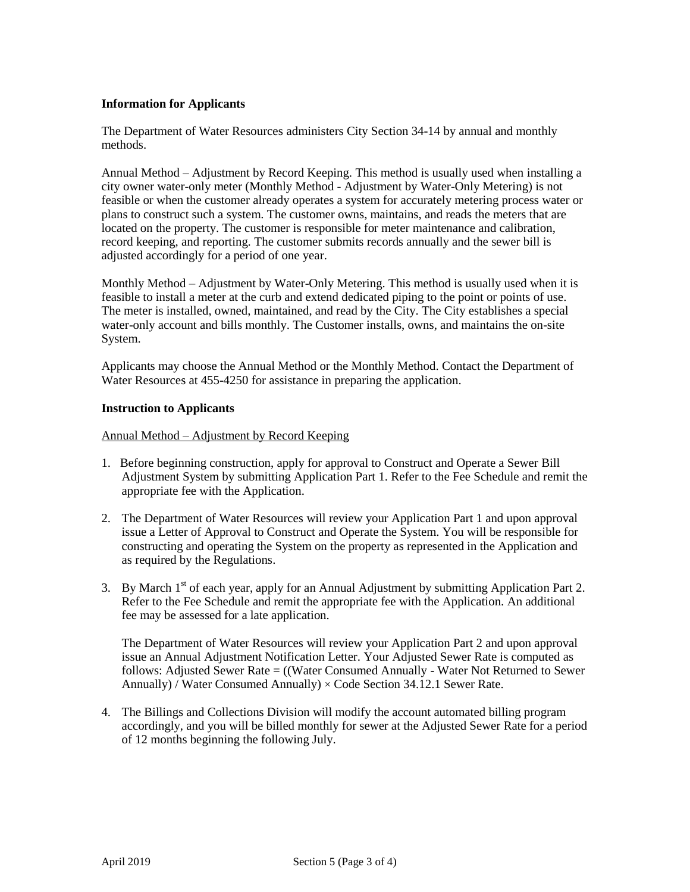#### **Information for Applicants**

The Department of Water Resources administers City Section 34-14 by annual and monthly methods.

Annual Method – Adjustment by Record Keeping. This method is usually used when installing a city owner water-only meter (Monthly Method - Adjustment by Water-Only Metering) is not feasible or when the customer already operates a system for accurately metering process water or plans to construct such a system. The customer owns, maintains, and reads the meters that are located on the property. The customer is responsible for meter maintenance and calibration, record keeping, and reporting. The customer submits records annually and the sewer bill is adjusted accordingly for a period of one year.

Monthly Method – Adjustment by Water-Only Metering. This method is usually used when it is feasible to install a meter at the curb and extend dedicated piping to the point or points of use. The meter is installed, owned, maintained, and read by the City. The City establishes a special water-only account and bills monthly. The Customer installs, owns, and maintains the on-site System.

Applicants may choose the Annual Method or the Monthly Method. Contact the Department of Water Resources at 455-4250 for assistance in preparing the application.

#### **Instruction to Applicants**

Annual Method – Adjustment by Record Keeping

- 1. Before beginning construction, apply for approval to Construct and Operate a Sewer Bill Adjustment System by submitting Application Part 1. Refer to the Fee Schedule and remit the appropriate fee with the Application.
- 2. The Department of Water Resources will review your Application Part 1 and upon approval issue a Letter of Approval to Construct and Operate the System. You will be responsible for constructing and operating the System on the property as represented in the Application and as required by the Regulations.
- 3. By March  $1<sup>st</sup>$  of each year, apply for an Annual Adjustment by submitting Application Part 2. Refer to the Fee Schedule and remit the appropriate fee with the Application. An additional fee may be assessed for a late application.

The Department of Water Resources will review your Application Part 2 and upon approval issue an Annual Adjustment Notification Letter. Your Adjusted Sewer Rate is computed as follows: Adjusted Sewer Rate = ((Water Consumed Annually - Water Not Returned to Sewer Annually) / Water Consumed Annually)  $\times$  Code Section 34.12.1 Sewer Rate.

4. The Billings and Collections Division will modify the account automated billing program accordingly, and you will be billed monthly for sewer at the Adjusted Sewer Rate for a period of 12 months beginning the following July.